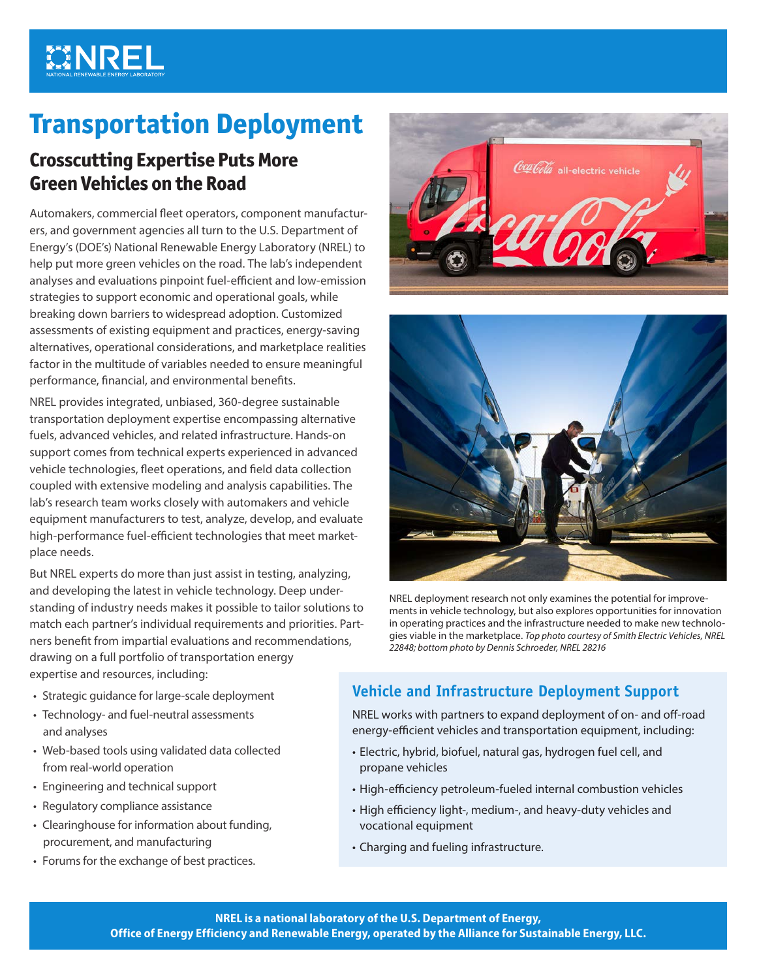# **MINREL**

## **Transportation Deployment**

## **Crosscutting Expertise Puts More Green Vehicles on the Road**

Automakers, commercial fleet operators, component manufacturers, and government agencies all turn to the U.S. Department of Energy's (DOE's) National Renewable Energy Laboratory (NREL) to help put more green vehicles on the road. The lab's independent analyses and evaluations pinpoint fuel-efficient and low-emission strategies to support economic and operational goals, while breaking down barriers to widespread adoption. Customized assessments of existing equipment and practices, energy-saving alternatives, operational considerations, and marketplace realities factor in the multitude of variables needed to ensure meaningful performance, financial, and environmental benefits.

NREL provides integrated, unbiased, 360-degree sustainable transportation deployment expertise encompassing alternative fuels, advanced vehicles, and related infrastructure. Hands-on support comes from technical experts experienced in advanced vehicle technologies, fleet operations, and field data collection coupled with extensive modeling and analysis capabilities. The lab's research team works closely with automakers and vehicle equipment manufacturers to test, analyze, develop, and evaluate high-performance fuel-efficient technologies that meet marketplace needs.

But NREL experts do more than just assist in testing, analyzing, and developing the latest in vehicle technology. Deep understanding of industry needs makes it possible to tailor solutions to match each partner's individual requirements and priorities. Partners benefit from impartial evaluations and recommendations, drawing on a full portfolio of transportation energy expertise and resources, including:

- Strategic guidance for large-scale deployment
- Technology- and fuel-neutral assessments and analyses
- Web-based tools using validated data collected from real-world operation
- Engineering and technical support
- Regulatory compliance assistance
- Clearinghouse for information about funding, procurement, and manufacturing
- Forums for the exchange of best practices.





NREL deployment research not only examines the potential for improvements in vehicle technology, but also explores opportunities for innovation in operating practices and the infrastructure needed to make new technologies viable in the marketplace. *Top photo courtesy of Smith Electric Vehicles, NREL 22848; bottom photo by Dennis Schroeder, NREL 28216*

## **Vehicle and Infrastructure Deployment Support**

NREL works with partners to expand deployment of on- and off-road energy-efficient vehicles and transportation equipment, including:

- Electric, hybrid, biofuel, natural gas, hydrogen fuel cell, and propane vehicles
- High-efficiency petroleum-fueled internal combustion vehicles
- High efficiency light-, medium-, and heavy-duty vehicles and vocational equipment
- Charging and fueling infrastructure.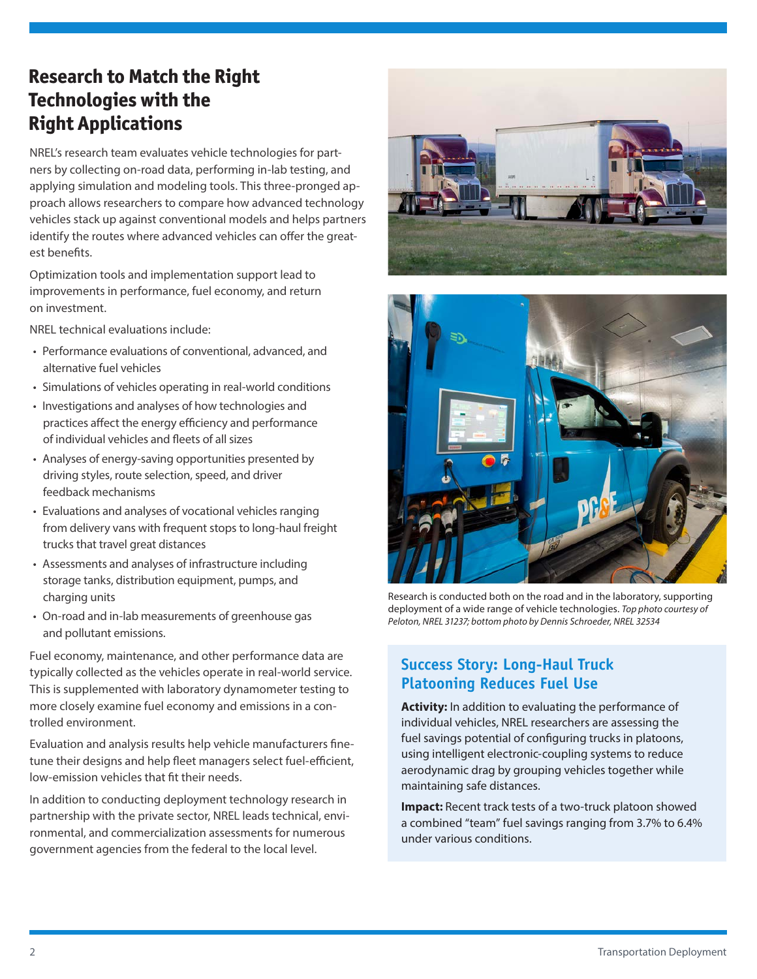## **Research to Match the Right Technologies with the Right Applications**

NREL's research team evaluates vehicle technologies for partners by collecting on-road data, performing in-lab testing, and applying simulation and modeling tools. This three-pronged approach allows researchers to compare how advanced technology vehicles stack up against conventional models and helps partners identify the routes where advanced vehicles can offer the greatest benefits.

Optimization tools and implementation support lead to improvements in performance, fuel economy, and return on investment.

NREL technical evaluations include:

- Performance evaluations of conventional, advanced, and alternative fuel vehicles
- Simulations of vehicles operating in real-world conditions
- Investigations and analyses of how technologies and practices affect the energy efficiency and performance of individual vehicles and fleets of all sizes
- Analyses of energy-saving opportunities presented by driving styles, route selection, speed, and driver feedback mechanisms
- Evaluations and analyses of vocational vehicles ranging from delivery vans with frequent stops to long-haul freight trucks that travel great distances
- Assessments and analyses of infrastructure including storage tanks, distribution equipment, pumps, and charging units
- On-road and in-lab measurements of greenhouse gas and pollutant emissions.

Fuel economy, maintenance, and other performance data are typically collected as the vehicles operate in real-world service. This is supplemented with laboratory dynamometer testing to more closely examine fuel economy and emissions in a controlled environment.

Evaluation and analysis results help vehicle manufacturers finetune their designs and help fleet managers select fuel-efficient, low-emission vehicles that fit their needs.

In addition to conducting deployment technology research in partnership with the private sector, NREL leads technical, environmental, and commercialization assessments for numerous government agencies from the federal to the local level.





Research is conducted both on the road and in the laboratory, supporting deployment of a wide range of vehicle technologies. *Top photo courtesy of Peloton, NREL 31237; bottom photo by Dennis Schroeder, NREL 32534*

### **Success Story: Long-Haul Truck Platooning Reduces Fuel Use**

**Activity:** In addition to evaluating the performance of individual vehicles, NREL researchers are assessing the fuel savings potential of configuring trucks in platoons, using intelligent electronic-coupling systems to reduce aerodynamic drag by grouping vehicles together while maintaining safe distances.

**Impact:** Recent track tests of a two-truck platoon showed a combined "team" fuel savings ranging from 3.7% to 6.4% under various conditions.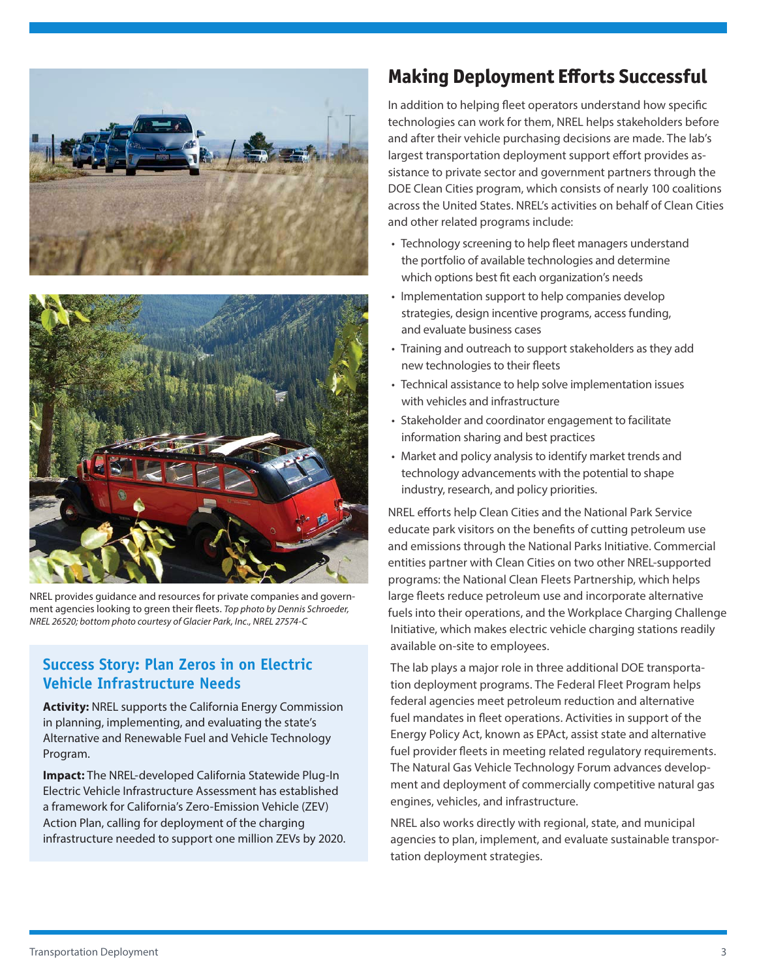



NREL provides guidance and resources for private companies and government agencies looking to green their fleets. *Top photo by Dennis Schroeder, NREL 26520; bottom photo courtesy of Glacier Park, Inc., NREL 27574-C* 

#### **Success Story: Plan Zeros in on Electric Vehicle Infrastructure Needs**

**Activity:** NREL supports the California Energy Commission in planning, implementing, and evaluating the state's Alternative and Renewable Fuel and Vehicle Technology Program.

**Impact:** The NREL-developed California Statewide Plug-In Electric Vehicle Infrastructure Assessment has established a framework for California's Zero-Emission Vehicle (ZEV) Action Plan, calling for deployment of the charging infrastructure needed to support one million ZEVs by 2020.

## **Making Deployment Efforts Successful**

In addition to helping fleet operators understand how specific technologies can work for them, NREL helps stakeholders before and after their vehicle purchasing decisions are made. The lab's largest transportation deployment support effort provides assistance to private sector and government partners through the DOE Clean Cities program, which consists of nearly 100 coalitions across the United States. NREL's activities on behalf of Clean Cities and other related programs include:

- Technology screening to help fleet managers understand the portfolio of available technologies and determine which options best fit each organization's needs
- Implementation support to help companies develop strategies, design incentive programs, access funding, and evaluate business cases
- Training and outreach to support stakeholders as they add new technologies to their fleets
- Technical assistance to help solve implementation issues with vehicles and infrastructure
- Stakeholder and coordinator engagement to facilitate information sharing and best practices
- Market and policy analysis to identify market trends and technology advancements with the potential to shape industry, research, and policy priorities.

NREL efforts help Clean Cities and the National Park Service educate park visitors on the benefits of cutting petroleum use and emissions through the National Parks Initiative. Commercial entities partner with Clean Cities on two other NREL-supported programs: the National Clean Fleets Partnership, which helps large fleets reduce petroleum use and incorporate alternative fuels into their operations, and the Workplace Charging Challenge Initiative, which makes electric vehicle charging stations readily available on-site to employees.

The lab plays a major role in three additional DOE transportation deployment programs. The Federal Fleet Program helps federal agencies meet petroleum reduction and alternative fuel mandates in fleet operations. Activities in support of the Energy Policy Act, known as EPAct, assist state and alternative fuel provider fleets in meeting related regulatory requirements. The Natural Gas Vehicle Technology Forum advances development and deployment of commercially competitive natural gas engines, vehicles, and infrastructure.

NREL also works directly with regional, state, and municipal agencies to plan, implement, and evaluate sustainable transportation deployment strategies.